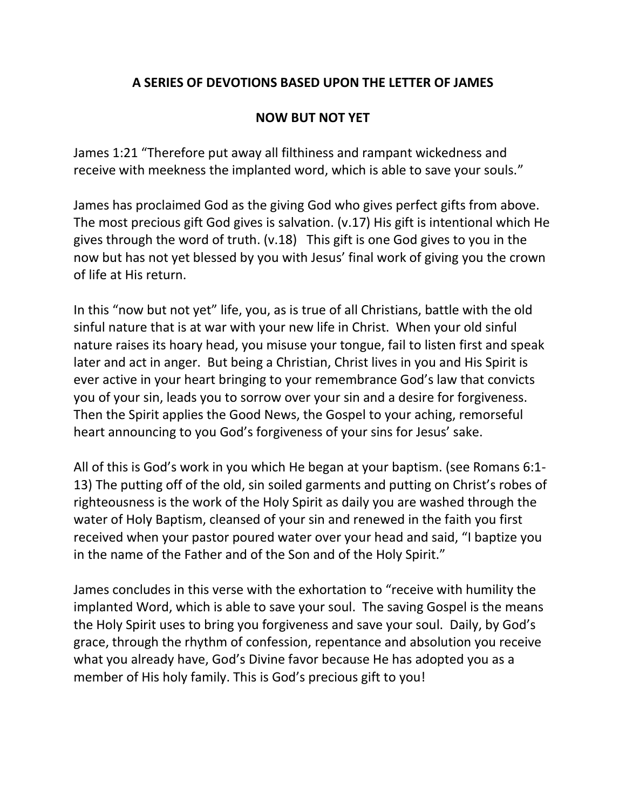## **A SERIES OF DEVOTIONS BASED UPON THE LETTER OF JAMES**

## **NOW BUT NOT YET**

James 1:21 "Therefore put away all filthiness and rampant wickedness and receive with meekness the implanted word, which is able to save your souls."

James has proclaimed God as the giving God who gives perfect gifts from above. The most precious gift God gives is salvation. (v.17) His gift is intentional which He gives through the word of truth. (v.18) This gift is one God gives to you in the now but has not yet blessed by you with Jesus' final work of giving you the crown of life at His return.

In this "now but not yet" life, you, as is true of all Christians, battle with the old sinful nature that is at war with your new life in Christ. When your old sinful nature raises its hoary head, you misuse your tongue, fail to listen first and speak later and act in anger. But being a Christian, Christ lives in you and His Spirit is ever active in your heart bringing to your remembrance God's law that convicts you of your sin, leads you to sorrow over your sin and a desire for forgiveness. Then the Spirit applies the Good News, the Gospel to your aching, remorseful heart announcing to you God's forgiveness of your sins for Jesus' sake.

All of this is God's work in you which He began at your baptism. (see Romans 6:1- 13) The putting off of the old, sin soiled garments and putting on Christ's robes of righteousness is the work of the Holy Spirit as daily you are washed through the water of Holy Baptism, cleansed of your sin and renewed in the faith you first received when your pastor poured water over your head and said, "I baptize you in the name of the Father and of the Son and of the Holy Spirit."

James concludes in this verse with the exhortation to "receive with humility the implanted Word, which is able to save your soul. The saving Gospel is the means the Holy Spirit uses to bring you forgiveness and save your soul. Daily, by God's grace, through the rhythm of confession, repentance and absolution you receive what you already have, God's Divine favor because He has adopted you as a member of His holy family. This is God's precious gift to you!